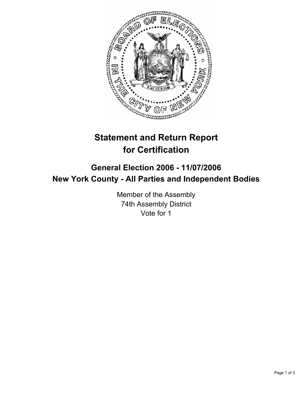

# **Statement and Return Report for Certification**

## **General Election 2006 - 11/07/2006 New York County - All Parties and Independent Bodies**

Member of the Assembly 74th Assembly District Vote for 1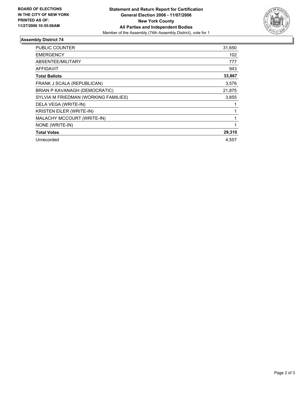

### **Assembly District 74**

| PUBLIC COUNTER                       | 31,650 |
|--------------------------------------|--------|
| <b>EMERGENCY</b>                     | 102    |
| ABSENTEE/MILITARY                    | 777    |
| <b>AFFIDAVIT</b>                     | 943    |
| <b>Total Ballots</b>                 | 33,867 |
| FRANK J SCALA (REPUBLICAN)           | 3,576  |
| BRIAN P KAVANAGH (DEMOCRATIC)        | 21,875 |
| SYLVIA M FRIEDMAN (WORKING FAMILIES) | 3,855  |
| DELA VEGA (WRITE-IN)                 |        |
| <b>KRISTEN EILER (WRITE-IN)</b>      |        |
| MALACHY MCCOURT (WRITE-IN)           |        |
| NONE (WRITE-IN)                      |        |
| <b>Total Votes</b>                   | 29,310 |
| Unrecorded                           | 4,557  |